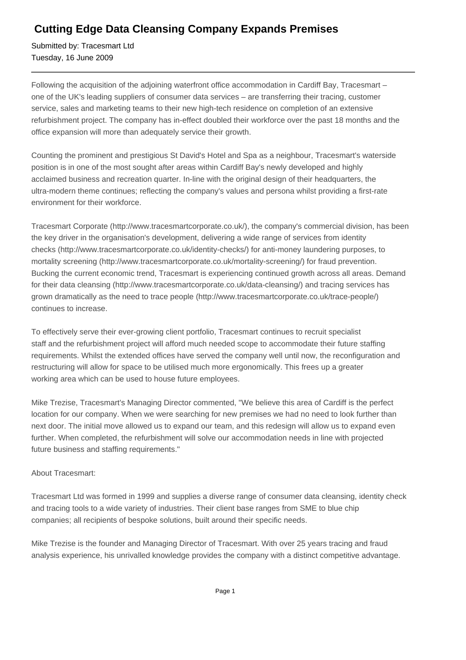## **Cutting Edge Data Cleansing Company Expands Premises**

Submitted by: Tracesmart Ltd Tuesday, 16 June 2009

Following the acquisition of the adjoining waterfront office accommodation in Cardiff Bay, Tracesmart – one of the UK's leading suppliers of consumer data services – are transferring their tracing, customer service, sales and marketing teams to their new high-tech residence on completion of an extensive refurbishment project. The company has in-effect doubled their workforce over the past 18 months and the office expansion will more than adequately service their growth.

Counting the prominent and prestigious St David's Hotel and Spa as a neighbour, Tracesmart's waterside position is in one of the most sought after areas within Cardiff Bay's newly developed and highly acclaimed business and recreation quarter. In-line with the original design of their headquarters, the ultra-modern theme continues; reflecting the company's values and persona whilst providing a first-rate environment for their workforce.

Tracesmart Corporate (http://www.tracesmartcorporate.co.uk/), the company's commercial division, has been the key driver in the organisation's development, delivering a wide range of services from identity checks (http://www.tracesmartcorporate.co.uk/identity-checks/) for anti-money laundering purposes, to mortality screening (http://www.tracesmartcorporate.co.uk/mortality-screening/) for fraud prevention. Bucking the current economic trend, Tracesmart is experiencing continued growth across all areas. Demand for their data cleansing (http://www.tracesmartcorporate.co.uk/data-cleansing/) and tracing services has grown dramatically as the need to trace people (http://www.tracesmartcorporate.co.uk/trace-people/) continues to increase.

To effectively serve their ever-growing client portfolio, Tracesmart continues to recruit specialist staff and the refurbishment project will afford much needed scope to accommodate their future staffing requirements. Whilst the extended offices have served the company well until now, the reconfiguration and restructuring will allow for space to be utilised much more ergonomically. This frees up a greater working area which can be used to house future employees.

Mike Trezise, Tracesmart's Managing Director commented, "We believe this area of Cardiff is the perfect location for our company. When we were searching for new premises we had no need to look further than next door. The initial move allowed us to expand our team, and this redesign will allow us to expand even further. When completed, the refurbishment will solve our accommodation needs in line with projected future business and staffing requirements."

## About Tracesmart:

Tracesmart Ltd was formed in 1999 and supplies a diverse range of consumer data cleansing, identity check and tracing tools to a wide variety of industries. Their client base ranges from SME to blue chip companies; all recipients of bespoke solutions, built around their specific needs.

Mike Trezise is the founder and Managing Director of Tracesmart. With over 25 years tracing and fraud analysis experience, his unrivalled knowledge provides the company with a distinct competitive advantage.